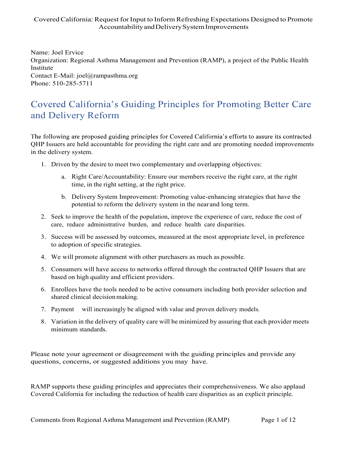Name: Joel Ervice Organization: Regional Asthma Management and Prevention (RAMP), a project of the Public Health Institute Contact E-Mail: joel@rampasthma.org Phone: 510-285-5711

## Covered California's Guiding Principles for Promoting Better Care and Delivery Reform

The following are proposed guiding principles for Covered California's efforts to assure its contracted QHP Issuers are held accountable for providing the right care and are promoting needed improvements in the delivery system.

- 1. Driven by the desire to meet two complementary and overlapping objectives:
	- a. Right Care/Accountability: Ensure our members receive the right care, at the right time, in the right setting, at the right price.
	- b. Delivery System Improvement: Promoting value-enhancing strategies that have the potential to reform the delivery system in the near and long term.
- 2. Seek to improve the health of the population, improve the experience of care, reduce the cost of care, reduce administrative burden, and reduce health care disparities.
- 3. Success will be assessed by outcomes, measured at the most appropriate level, in preference to adoption of specific strategies.
- 4. We will promote alignment with other purchasers as much as possible.
- 5. Consumers will have access to networks offered through the contracted QHP Issuers that are based on high quality and efficient providers.
- 6. Enrollees have the tools needed to be active consumers including both provider selection and shared clinical decision making.
- 7. Payment will increasingly be aligned with value and proven delivery models.
- 8. Variation in the delivery of quality care will be minimized by assuring that each provider meets minimum standards.

Please note your agreement or disagreement with the guiding principles and provide any questions, concerns, or suggested additions you may have.

RAMP supports these guiding principles and appreciates their comprehensiveness. We also applaud Covered California for including the reduction of health care disparities as an explicit principle.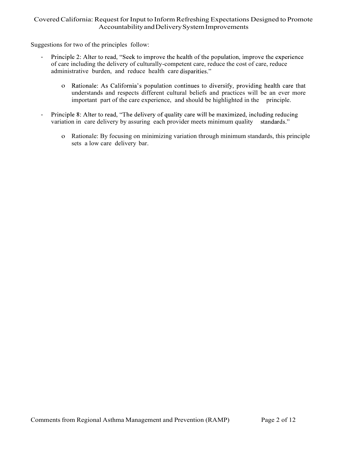Suggestions for two of the principles follow:

- Principle 2: Alter to read, "Seek to improve the health of the population, improve the experience of care including the delivery of culturally-competent care, reduce the cost of care, reduce administrative burden, and reduce health care disparities."
	- o Rationale: As California's population continues to diversify, providing health care that understands and respects different cultural beliefs and practices will be an ever more important part of the care experience, and should be highlighted in the principle.
- Principle 8: Alter to read, "The delivery of quality care will be maximized, including reducing variation in care delivery by assuring each provider meets minimum quality standards."
	- o Rationale: By focusing on minimizing variation through minimum standards, this principle sets a low care delivery bar.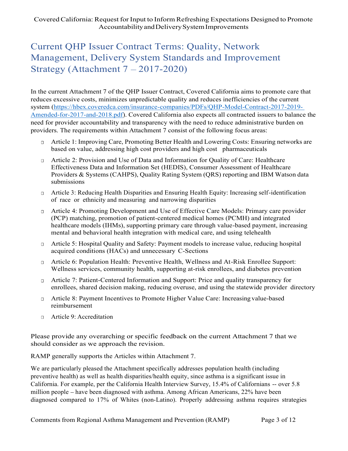## Current QHP Issuer Contract Terms: Quality, Network Management, Delivery System Standards and Improvement Strategy (Attachment  $7 - 2017 - 2020$ )

In the current Attachment 7 of the QHP Issuer Contract, Covered California aims to promote care that reduces excessive costs, minimizes unpredictable quality and reduces inefficiencies of the current system (https://hbex.coveredca.com/insurance-companies/PDFs/QHP-Model-Contract-2017-2019- Amended-for-2017-and-2018.pdf). Covered California also expects all contracted issuers to balance the need for provider accountability and transparency with the need to reduce administrative burden on providers. The requirements within Attachment 7 consist of the following focus areas:

- Article 1: Improving Care, Promoting Better Health and Lowering Costs: Ensuring networks are  $\Box$ based on value, addressing high cost providers and high cost pharmaceuticals
- Article 2: Provision and Use of Data and Information for Quality of Care: Healthcare Effectiveness Data and Information Set (HEDIS), Consumer Assessment of Healthcare Providers & Systems (CAHPS), Quality Rating System (QRS) reporting and IBM Watson data submissions
- Article 3: Reducing Health Disparities and Ensuring Health Equity: Increasing self-identification  $\Box$ of race or ethnicity and measuring and narrowing disparities
- Article 4: Promoting Development and Use of Effective Care Models: Primary care provider (PCP) matching, promotion of patient-centered medical homes (PCMH) and integrated healthcare models (IHMs), supporting primary care through value-based payment, increasing mental and behavioral health integration with medical care, and using telehealth
- Article 5: Hospital Quality and Safety: Payment models to increase value, reducing hospital acquired conditions (HACs) and unnecessary C-Sections
- Article 6: Population Health: Preventive Health, Wellness and At-Risk Enrollee Support: Wellness services, community health, supporting at-risk enrollees, and diabetes prevention
- Article 7: Patient-Centered Information and Support: Price and quality transparency for enrollees, shared decision making, reducing overuse, and using the statewide provider directory
- Article 8: Payment Incentives to Promote Higher Value Care: Increasing value-based reimbursement
- □ Article 9: Accreditation

Please provide any overarching or specific feedback on the current Attachment 7 that we should consider as we approach the revision.

RAMP generally supports the Articles within Attachment 7.

We are particularly pleased the Attachment specifically addresses population health (including preventive health) as well as health disparities/health equity, since asthma is a significant issue in California. For example, per the California Health Interview Survey, 15.4% of Californians -- over 5.8 million people have been diagnosed with asthma. Among African Americans, 22% have been diagnosed compared to 17% of Whites (non-Latino). Properly addressing asthma requires strategies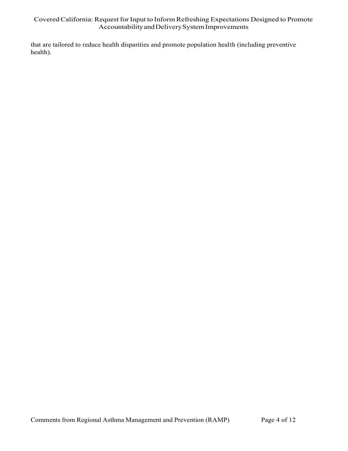that are tailored to reduce health disparities and promote population health (including preventive health).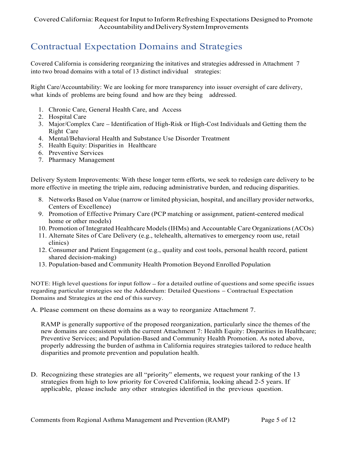# Contractual Expectation Domains and Strategies

Covered California is considering reorganizing the initatives and strategies addressed in Attachment 7 into two broad domains with a total of 13 distinct individual strategies:

Right Care/Accountability: We are looking for more transparency into issuer oversight of care delivery, what kinds of problems are being found and how are they being addressed.

- 1. Chronic Care, General Health Care, and Access
- 2. Hospital Care
- 3. Major/Complex Care Identification of High-Risk or High-Cost Individuals and Getting them the Right Care
- 4. Mental/Behavioral Health and Substance Use Disorder Treatment
- 5. Health Equity: Disparities in Healthcare
- 6. Preventive Services
- 7. Pharmacy Management

Delivery System Improvements: With these longer term efforts, we seek to redesign care delivery to be more effective in meeting the triple aim, reducing administrative burden, and reducing disparities.

- 8. Networks Based on Value (narrow or limited physician, hospital, and ancillary provider networks, Centers of Excellence)
- 9. Promotion of Effective Primary Care (PCP matching or assignment, patient-centered medical home or other models)
- 10. Promotion of Integrated Healthcare Models (IHMs) and Accountable Care Organizations (ACOs)
- 11. Alternate Sites of Care Delivery (e.g., telehealth, alternatives to emergency room use, retail clinics)
- 12. Consumer and Patient Engagement (e.g., quality and cost tools, personal health record, patient shared decision-making)
- 13. Population-based and Community Health Promotion Beyond Enrolled Population

NOTE: High level questions for input follow – for a detailed outline of questions and some specific issues regarding particular strategies see the Addendum: Detailed Questions – Contractual Expectation Domains and Strategies at the end of this survey.

A. Please comment on these domains as a way to reorganize Attachment 7.

RAMP is generally supportive of the proposed reorganization, particularly since the themes of the new domains are consistent with the current Attachment 7: Health Equity: Disparities in Healthcare; Preventive Services; and Population-Based and Community Health Promotion. As noted above, properly addressing the burden of asthma in California requires strategies tailored to reduce health disparities and promote prevention and population health.

D. Recognizing these strategies are all "priority" elements, we request your ranking of the 13 strategies from high to low priority for Covered California, looking ahead 2-5 years. If applicable, please include any other strategies identified in the previous question.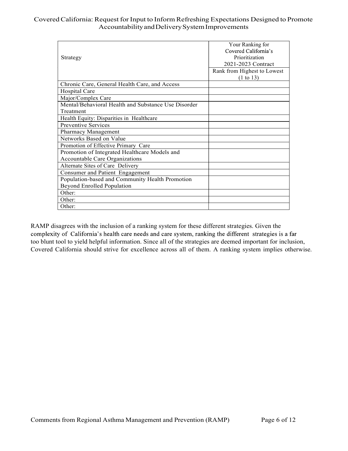| Strategy                                            | Your Ranking for<br>Covered California's<br>Prioritization<br>2021-2023 Contract<br>Rank from Highest to Lowest<br>(1 to 13) |
|-----------------------------------------------------|------------------------------------------------------------------------------------------------------------------------------|
| Chronic Care, General Health Care, and Access       |                                                                                                                              |
| Hospital Care                                       |                                                                                                                              |
| Major/Complex Care                                  |                                                                                                                              |
| Mental/Behavioral Health and Substance Use Disorder |                                                                                                                              |
| Treatment                                           |                                                                                                                              |
| Health Equity: Disparities in Healthcare            |                                                                                                                              |
| Preventive Services                                 |                                                                                                                              |
| Pharmacy Management                                 |                                                                                                                              |
| Networks Based on Value                             |                                                                                                                              |
| Promotion of Effective Primary Care                 |                                                                                                                              |
| Promotion of Integrated Healthcare Models and       |                                                                                                                              |
| Accountable Care Organizations                      |                                                                                                                              |
| Alternate Sites of Care Delivery                    |                                                                                                                              |
| Consumer and Patient Engagement                     |                                                                                                                              |
| Population-based and Community Health Promotion     |                                                                                                                              |
| <b>Beyond Enrolled Population</b>                   |                                                                                                                              |
| Other:                                              |                                                                                                                              |
| Other:                                              |                                                                                                                              |
| Other:                                              |                                                                                                                              |

RAMP disagrees with the inclusion of a ranking system for these different strategies. Given the complexity of California's health care needs and care system, ranking the different strategies is a far too blunt tool to yield helpful information. Since all of the strategies are deemed important for inclusion, Covered California should strive for excellence across all of them. A ranking system implies otherwise.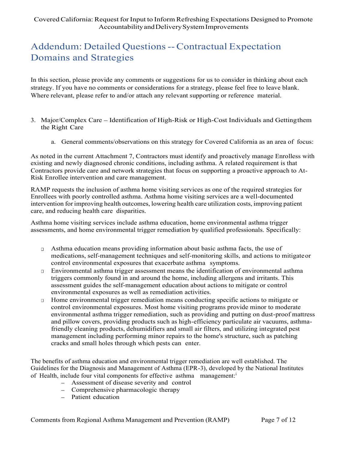# Addendum: Detailed Questions -- Contractual Expectation Domains and Strategies

In this section, please provide any comments or suggestions for us to consider in thinking about each strategy. If you have no comments or considerations for a strategy, please feel free to leave blank. Where relevant, please refer to and/or attach any relevant supporting or reference material.

- 3. Major/Complex Care Identification of High-Risk or High-Cost Individuals and Getting them the Right Care
	- a. General comments/observations on this strategy for Covered California as an area of focus:

As noted in the current Attachment 7, Contractors must identify and proactively manage Enrolless with existing and newly diagnosed chronic conditions, including asthma. A related requirement is that Contractors provide care and network strategies that focus on supporting a proactive approach to At-Risk Enrollee intervention and care management.

RAMP requests the inclusion of asthma home visiting services as one of the required strategies for Enrollees with poorly controlled asthma. Asthma home visiting services are a well-documented intervention for improving health outcomes, lowering health care utilization costs, improving patient care, and reducing health care disparities.

Asthma home visiting services include asthma education, home environmental asthma trigger assessments, and home environmental trigger remediation by qualified professionals. Specifically:

- $\Box$  Asthma education means providing information about basic asthma facts, the use of medications, self-management techniques and self-monitoring skills, and actions to mitigate or control environmental exposures that exacerbate asthma symptoms.
- Environmental asthma trigger assessment means the identification of environmental asthma  $\Box$ triggers commonly found in and around the home, including allergens and irritants. This assessment guides the self-management education about actions to mitigate or control environmental exposures as well as remediation activities.
- Home environmental trigger remediation means conducting specific actions to mitigate or  $\Box$ control environmental exposures. Most home visiting programs provide minor to moderate environmental asthma trigger remediation, such as providing and putting on dust-proof mattress and pillow covers, providing products such as high-efficiency particulate air vacuums, asthmafriendly cleaning products, dehumidifiers and small air filters, and utilizing integrated pest management including performing minor repairs to the home's structure, such as patching cracks and small holes through which pests can enter.

The benefits of asthma education and environmental trigger remediation are well established. The Guidelines for the Diagnosis and Management of Asthma (EPR-3), developed by the National Institutes of Health, include four vital components for effective asthma management:<sup>i</sup>

- Assessment of disease severity and control
- Comprehensive pharmacologic therapy
- Patient education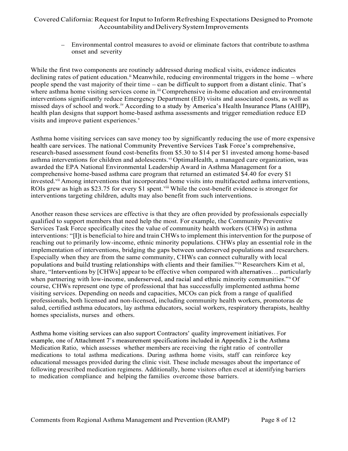onset and severity

ifornia: Request for Input to Inform Refreshing Expectations Designed to Promote<br>Accountability and Delivery System Improvements<br>Environmental control measures to avoid or eliminate factors that contribute to asthma<br>onset While the first two components are routinely addressed during medical visits, evidence indicates declining rates of patient education.<sup>ii</sup> Meanwhile, reducing environmental triggers in the home – where people spend the vast majority of their time - can be difficult to support from a distant clinic. That's where asthma home visiting services come in.<sup>iii</sup> Comprehensive in-home education and environmental interventions significantly reduce Emergency Department (ED) visits and associated costs, as well as missed days of school and work.<sup>iv</sup> According to a study by America's Health Insurance Plans (AHIP), health plan designs that support home-based asthma assessments and trigger remediation reduce ED visits and improve patient experiences.<sup>v</sup>

Asthma home visiting services can save money too by significantly reducing the use of more expensive health care services. The national Community Preventive Services Task Force's comprehensive. research-based assessment found cost-benefits from \$5.30 to \$14 per \$1 invested among home-based asthma interventions for children and adolescents.<sup>vi</sup> OptimaHealth, a managed care organization, was awarded the EPA National Environmental Leadership Award in Asthma Management for a comprehensive home-based asthma care program that returned an estimated \$4.40 for every \$1 invested.<sup>vii</sup> Among interventions that incorporated home visits into multifaceted asthma interventions, ROIs grew as high as \$23.75 for every \$1 spent.<sup>viii</sup> While the cost-benefit evidence is stronger for interventions targeting children, adults may also benefit from such interventions.

Another reason these services are effective is that they are often provided by professionals especially qualified to support members that need help the most. For example, the Community Preventive Services Task Force specifically cites the value of community health workers (CHWs) in asthma interventions: "[1] t is beneficial to hire and train CHWs to implement this intervention for the purpose of reaching out to primarily low-income, ethnic minority populations. CHWs play an essential role in the implementation of interventions, bridging the gaps between underserved populations and researchers. Especially when they are from the same community, CHWs can connect culturally with local populations and build trusting relationships with clients and their families."ix Researchers Kim et al, share, "Interventions by  $[CHWs]$  appear to be effective when compared with alternatives... particularly when partnering with low-income, underserved, and racial and ethnic minority communities." $x$  Of course, CHWs represent one type of professional that has successfully implemented asthma home visiting services. Depending on needs and capacities, MCOs can pick from a range of qualified professionals, both licensed and non-licensed, including community health workers, promotoras de salud, certified asthma educators, lay asthma educators, social workers, respiratory therapists, healthy homes specialists, nurses and others.

Asthma home visiting services can also support Contractors' quality improvement initiatives. For example, one of Attachment 7's measurement specifications included in Appendix 2 is the Asthma Medication Ratio, which assesses whether members are receiving the right ratio of controller medications to total asthma medications. During asthma home visits, staff can reinforce key educational messages provided during the clinic visit. These include messages about the importance of following prescribed medication regimens. Additionally, home visitors often excel at identifying barriers to medication compliance and helping the families overcome those barriers.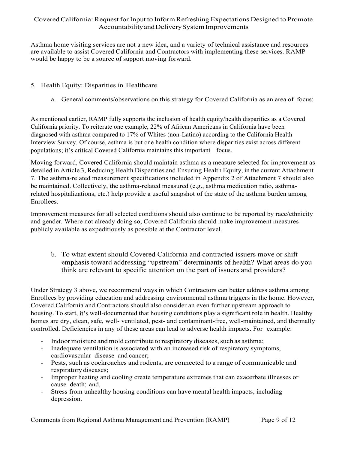Asthma home visiting services are not a new idea, and a variety of technical assistance and resources are available to assist Covered California and Contractors with implementing these services. RAMP would be happy to be a source of support moving forward.

- 5. Health Equity: Disparities in Healthcare
	- a. General comments/observations on this strategy for Covered California as an area of focus:

As mentioned earlier, RAMP fully supports the inclusion of health equity/health disparities as a Covered California priority. To reiterate one example, 22% of African Americans in California have been diagnosed with asthma compared to 17% of Whites (non-Latino) according to the California Health Interview Survey. Of course, asthma is but one health condition where disparities exist across different populations; it's critical Covered California maintains this important focus.

Moving forward, Covered California should maintain asthma as a measure selected for improvement as detailed in Article 3, Reducing Health Disparities and Ensuring Health Equity, in the current Attachment 7. The asthma-related measurement specifications included in Appendix 2 of Attachment 7 should also be maintained. Collectively, the asthma-related measured (e.g., asthma medication ratio, asthmarelated hospitalizations, etc.) help provide a useful snapshot of the state of the asthma burden among Enrollees.

Improvement measures for all selected conditions should also continue to be reported by race/ethnicity and gender. Where not already doing so, Covered California should make improvement measures publicly available as expeditiously as possible at the Contractor level.

b. To what extent should Covered California and contracted issuers move or shift emphasis toward addressing "upstream" determinants of health? What areas do you think are relevant to specific attention on the part of issuers and providers?

Under Strategy 3 above, we recommend ways in which Contractors can better address asthma among Enrollees by providing education and addressing environmental asthma triggers in the home. However, Covered California and Contractors should also consider an even further upstream approach to housing. To start, it's well-documented that housing conditions play a significant role in health. Healthy homes are dry, clean, safe, well- ventilated, pest- and contaminant-free, well-maintained, and thermally controlled. Deficiencies in any of these areas can lead to adverse health impacts. For example:

- Indoor moisture and mold contribute to respiratory diseases, such as asthma;
- Inadequate ventilation is associated with an increased risk of respiratory symptoms, cardiovascular disease and cancer;
- Pests, such as cockroaches and rodents, are connected to a range of communicable and respiratory diseases;
- Improper heating and cooling create temperature extremes that can exacerbate illnesses or cause death; and,
- Stress from unhealthy housing conditions can have mental health impacts, including depression.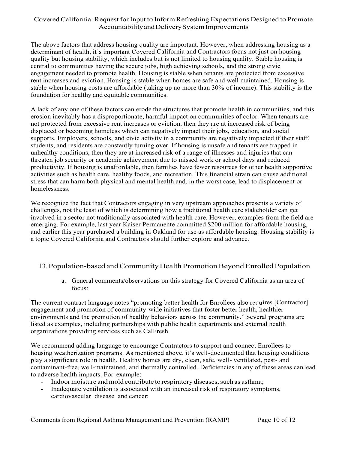The above factors that address housing quality are important. However, when addressing housing as a determinant of health, it's important Covered California and Contractors focus not just on housing quality but housing stability, which includes but is not limited to housing quality. Stable housing is central to communities having the secure jobs, high achieving schools, and the strong civic engagement needed to promote health. Housing is stable when tenants are protected from excessive rent increases and eviction. Housing is stable when homes are safe and well maintained. Housing is stable when housing costs are affordable (taking up no more than 30% of income). This stability is the foundation for healthy and equitable communities.

A lack of any one of these factors can erode the structures that promote health in communities, and this erosion inevitably has a disproportionate, harmful impact on communities of color. When tenants are not protected from excessive rent increases or eviction, then they are at increased risk of being displaced or becoming homeless which can negatively impact their jobs, education, and social supports. Employers, schools, and civic activity in a community are negatively impacted if their staff, students, and residents are constantly turning over. If housing is unsafe and tenants are trapped in unhealthy conditions, then they are at increased risk of a range of illnesses and injuries that can threaten job security or academic achievement due to missed work or school days and reduced productivity. If housing is unaffordable, then families have fewer resources for other health supportive activities such as health care, healthy foods, and recreation. This financial strain can cause additional stress that can harm both physical and mental health and, in the worst case, lead to displacement or homelessness.

We recognize the fact that Contractors engaging in very upstream approaches presents a variety of challenges, not the least of which is determining how a traditional health care stakeholder can get involved in a sector not traditionally associated with health care. However, examples from the field are emerging. For example, last year Kaiser Permanente committed \$200 million for affordable housing, and earlier this year purchased a building in Oakland for use as affordable housing. Housing stability is a topic Covered California and Contractors should further explore and advance.

### 13.Population-based and Community Health Promotion Beyond Enrolled Population

a. General comments/observations on this strategy for Covered California as an area of focus:

The current contract language notes "promoting better health for Enrollees also requires [Contractor] engagement and promotion of community-wide initiatives that foster better health, healthier<br>environments and the promotion of healthy behaviors across the community." Several programs are listed as examples, including partnerships with public health departments and external health organizations providing services such as CalFresh.

We recommend adding language to encourage Contractors to support and connect Enrollees to housing weatherization programs. As mentioned above, it's well-documented that housing conditions play a significant role in health. Healthy homes are dry, clean, safe, well- ventilated, pest- and contaminant-free, well-maintained, and thermally controlled. Deficiencies in any of these areas can lead to adverse health impacts. For example:

- Indoor moisture and mold contribute to respiratory diseases, such as asthma;
- Inadequate ventilation is associated with an increased risk of respiratory symptoms, cardiovascular disease and cancer;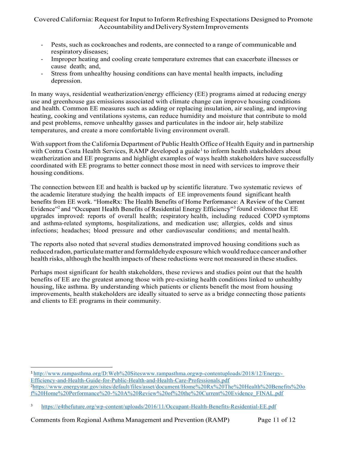- respiratory diseases;
- Improper heating and cooling create temperature extremes that can exacerbate illnesses or cause death; and,
- Stress from unhealthy housing conditions can have mental health impacts, including depression.

In many ways, residential weatherization/energy efficiency (EE) programs aimed at reducing energy use and greenhouse gas emissions associated with climate change can improve housing conditions and health. Common EE measures such as adding or replacing insulation, air sealing, and improving heating, cooking and ventilations systems, can reduce humidity and moisture that contribute to mold and pest problems, remove unhealthy gasses and particulates in the indoor air, help stabilize temperatures, and create a more comfortable living environment overall.

With support from the California Department of Public Health Office of Health Equity and in partnership with Contra Costa Health Services, RAMP developed a guide<sup>1</sup> to inform health stakeholders about weatherization and EE programs and highlight examples of ways health stakeholders have successfully coordinated with EE programs to better connect those most in need with services to improve their housing conditions.

The connection between EE and health is backed up by scientific literature. Two systematic reviews of the academic literature studying the health impacts of EE improvements found significant health benefits from EE work. "HomeRx: The Health Benefits of Home Performance: A Review of the Current Evidence"<sup>2</sup> and "Occupant Health Benefits of Residential Energy Efficiency"<sup>3</sup> found evidence that EE upgrades improved: reports of overall health; respiratory health, including reduced COPD symptoms and asthma-related symptoms, hospitalizations, and medication use; allergies, colds and sinus infections; headaches; blood pressure and other cardiovascular conditions; and mental health.

The reports also noted that several studies demonstrated improved housing conditions such as reduced radon, particulate matter and formaldehyde exposure which would reduce cancer and other health risks, although the health impacts of these reductions were not measured in these studies.

Perhaps most significant for health stakeholders, these reviews and studies point out that the health benefits of EE are the greatest among those with pre-existing health conditions linked to unhealthy housing, like asthma. By understanding which patients or clients benefit the most from housing improvements, health stakeholders are ideally situated to serve as a bridge connecting those patients and clients to EE programs in their community.

<sup>1</sup> http://www.rampasthma.org/D:Web%20Siteswww.rampasthma.orgwp-contentuploads/2018/12/Energy-Efficiency-and-Health-Guide-for-Public-Health-and-Health-Care-Professionals.pdf 2 https://www.energystar.gov/sites/default/files/asset/document/Home%20Rx%20The%20Health%20Benefits%20o f%20Home%20Performance%20-%20A%20Review%20of%20the%20Current%20Evidence\_FINAL.pdf

<sup>3</sup> https://e4thefuture.org/wp-content/uploads/2016/11/Occupant-Health-Benefits-Residential-EE.pdf